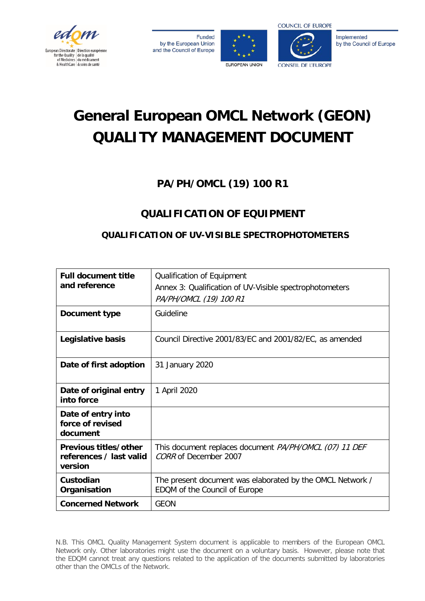

**Funded** by the European Union and the Council of Europe





Implemented by the Council of Europe

# **General European OMCL Network (GEON) QUALITY MANAGEMENT DOCUMENT**

# **PA/PH/OMCL (19) 100 R1**

# **QUALIFICATION OF EQUIPMENT**

# **QUALIFICATION OF UV-VISIBLE SPECTROPHOTOMETERS**

| <b>Full document title</b><br>and reference                 | Qualification of Equipment<br>Annex 3: Qualification of UV-Visible spectrophotometers<br>PA/PH/OMCL (19) 100 R1 |  |  |
|-------------------------------------------------------------|-----------------------------------------------------------------------------------------------------------------|--|--|
| Document type                                               | Guideline                                                                                                       |  |  |
| Legislative basis                                           | Council Directive 2001/83/EC and 2001/82/EC, as amended                                                         |  |  |
| Date of first adoption                                      | 31 January 2020                                                                                                 |  |  |
| Date of original entry<br>into force                        | 1 April 2020                                                                                                    |  |  |
| Date of entry into<br>force of revised<br>document          |                                                                                                                 |  |  |
| Previous titles/other<br>references / last valid<br>version | This document replaces document PA/PH/OMCL (07) 11 DEF<br>CORR of December 2007                                 |  |  |
| Custodian<br>Organisation                                   | The present document was elaborated by the OMCL Network /<br>EDQM of the Council of Europe                      |  |  |
| <b>Concerned Network</b>                                    | <b>GEON</b>                                                                                                     |  |  |

N.B. This OMCL Quality Management System document is applicable to members of the European OMCL Network only. Other laboratories might use the document on a voluntary basis. However, please note that the EDQM cannot treat any questions related to the application of the documents submitted by laboratories other than the OMCLs of the Network.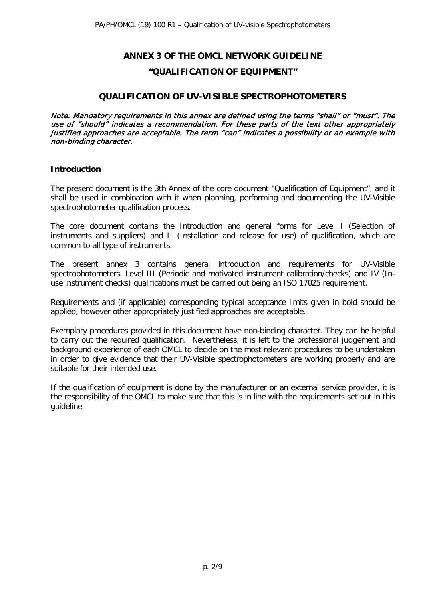# **ANNEX 3 OF THE OMCL NETWORK GUIDELINE "QUALIFICATION OF EQUIPMENT"**

#### **QUALIFICATION OF UV-VISIBLE SPECTROPHOTOMETERS**

Note: Mandatory requirements in this annex are defined using the terms "shall" or "must". The use of "should" indicates a recommendation. For these parts of the text other appropriately justified approaches are acceptable. The term "can" indicates a possibility or an example with non-binding character.

#### **Introduction**

The present document is the 3th Annex of the core document "Qualification of Equipment", and it shall be used in combination with it when planning, performing and documenting the UV-Visible spectrophotometer qualification process.

The core document contains the Introduction and general forms for Level I (Selection of instruments and suppliers) and II (Installation and release for use) of qualification, which are common to all type of instruments.

The present annex 3 contains general introduction and requirements for UV-Visible spectrophotometers. Level III (Periodic and motivated instrument calibration/checks) and IV (Inuse instrument checks) qualifications must be carried out being an ISO 17025 requirement.

Requirements and (if applicable) corresponding typical acceptance limits given in bold should be applied; however other appropriately justified approaches are acceptable.

Exemplary procedures provided in this document have non-binding character. They can be helpful to carry out the required qualification. Nevertheless, it is left to the professional judgement and background experience of each OMCL to decide on the most relevant procedures to be undertaken in order to give evidence that their UV-Visible spectrophotometers are working properly and are suitable for their intended use.

If the qualification of equipment is done by the manufacturer or an external service provider, it is the responsibility of the OMCL to make sure that this is in line with the requirements set out in this guideline.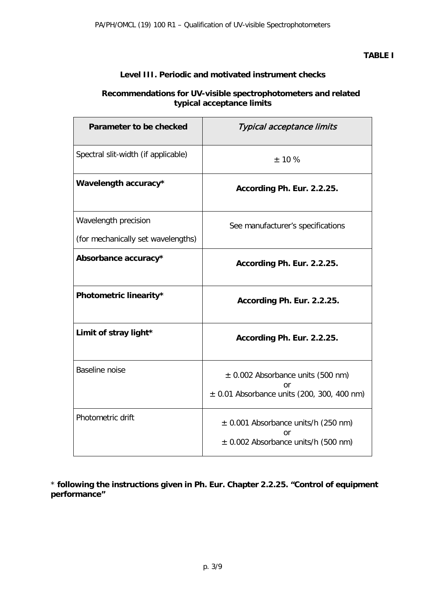# **Level III. Periodic and motivated instrument checks**

# **Recommendations for UV-visible spectrophotometers and related typical acceptance limits**

| Parameter to be checked             | Typical acceptance limits                                                                     |  |  |
|-------------------------------------|-----------------------------------------------------------------------------------------------|--|--|
| Spectral slit-width (if applicable) | $±$ 10 %                                                                                      |  |  |
| Wavelength accuracy*                | According Ph. Eur. 2.2.25.                                                                    |  |  |
| Wavelength precision                | See manufacturer's specifications                                                             |  |  |
| (for mechanically set wavelengths)  |                                                                                               |  |  |
| Absorbance accuracy*                | According Ph. Eur. 2.2.25.                                                                    |  |  |
| Photometric linearity*              | According Ph. Eur. 2.2.25.                                                                    |  |  |
| Limit of stray light*               | According Ph. Eur. 2.2.25.                                                                    |  |  |
| Baseline noise                      | $\pm$ 0.002 Absorbance units (500 nm)<br>or<br>$\pm$ 0.01 Absorbance units (200, 300, 400 nm) |  |  |
| Photometric drift                   | $\pm$ 0.001 Absorbance units/h (250 nm)<br>or<br>$\pm$ 0.002 Absorbance units/h (500 nm)      |  |  |

\* **following the instructions given in Ph. Eur. Chapter 2.2.25. "Control of equipment performance"**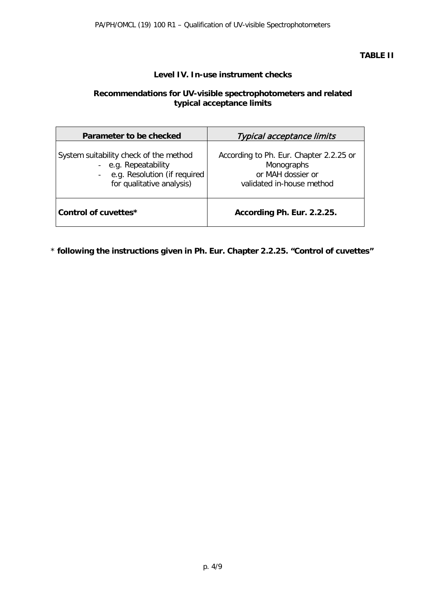# **TABLE II**

# **Level IV. In-use instrument checks**

# **Recommendations for UV-visible spectrophotometers and related typical acceptance limits**

| Parameter to be checked                                                                                                       | <b>Typical acceptance limits</b>                                                                        |  |  |
|-------------------------------------------------------------------------------------------------------------------------------|---------------------------------------------------------------------------------------------------------|--|--|
| System suitability check of the method<br>- e.g. Repeatability<br>- e.g. Resolution (if required<br>for qualitative analysis) | According to Ph. Eur. Chapter 2.2.25 or<br>Monographs<br>or MAH dossier or<br>validated in-house method |  |  |
| Control of cuvettes*                                                                                                          | According Ph. Eur. 2.2.25.                                                                              |  |  |

\* **following the instructions given in Ph. Eur. Chapter 2.2.25. "Control of cuvettes"**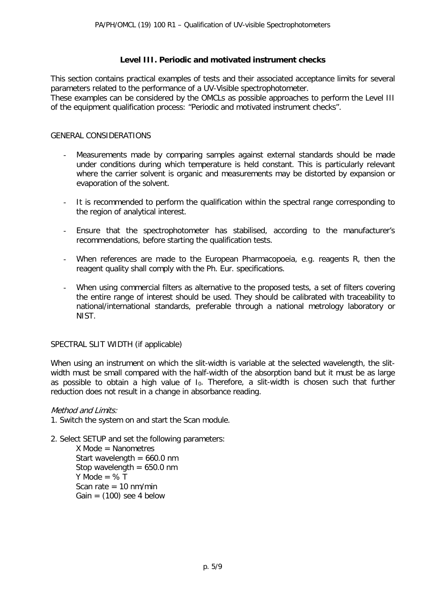#### **Level III. Periodic and motivated instrument checks**

This section contains practical examples of tests and their associated acceptance limits for several parameters related to the performance of a UV-Visible spectrophotometer. These examples can be considered by the OMCLs as possible approaches to perform the Level III of the equipment qualification process: "Periodic and motivated instrument checks".

#### GENERAL CONSIDERATIONS

- Measurements made by comparing samples against external standards should be made under conditions during which temperature is held constant. This is particularly relevant where the carrier solvent is organic and measurements may be distorted by expansion or evaporation of the solvent.
- It is recommended to perform the qualification within the spectral range corresponding to the region of analytical interest.
- Ensure that the spectrophotometer has stabilised, according to the manufacturer's recommendations, before starting the qualification tests.
- When references are made to the European Pharmacopoeia, e.g. reagents R, then the reagent quality shall comply with the Ph. Eur. specifications.
- When using commercial filters as alternative to the proposed tests, a set of filters covering the entire range of interest should be used. They should be calibrated with traceability to national/international standards, preferable through a national metrology laboratory or NIST.

#### SPECTRAL SLIT WIDTH (if applicable)

When using an instrument on which the slit-width is variable at the selected wavelength, the slitwidth must be small compared with the half-width of the absorption band but it must be as large as possible to obtain a high value of  $I_0$ . Therefore, a slit-width is chosen such that further reduction does not result in a change in absorbance reading.

#### Method and Limits:

- 1. Switch the system on and start the Scan module.
- 2. Select SETUP and set the following parameters:

X Mode = Nanometres Start wavelength  $= 660.0$  nm Stop wavelength  $= 650.0$  nm Y Mode =  $%T$ Scan rate  $= 10$  nm/min Gain =  $(100)$  see 4 below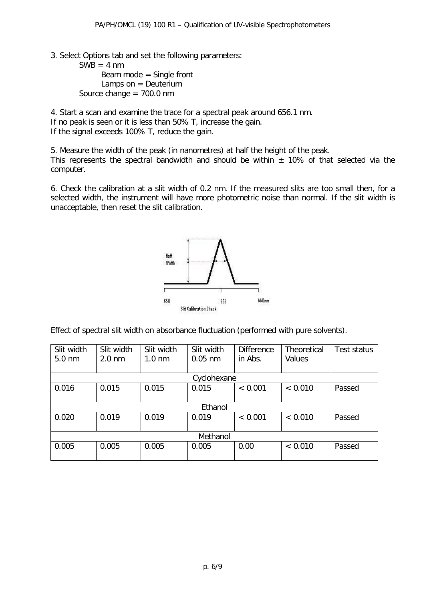3. Select Options tab and set the following parameters:

 $SWB = 4 nm$ Beam mode = Single front Lamps on  $=$  Deuterium Source change = 700.0 nm

4. Start a scan and examine the trace for a spectral peak around 656.1 nm. If no peak is seen or it is less than 50% T, increase the gain. If the signal exceeds 100% T, reduce the gain.

5. Measure the width of the peak (in nanometres) at half the height of the peak. This represents the spectral bandwidth and should be within  $\pm$  10% of that selected via the computer.

6. Check the calibration at a slit width of 0.2 nm. If the measured slits are too small then, for a selected width, the instrument will have more photometric noise than normal. If the slit width is unacceptable, then reset the slit calibration.



Effect of spectral slit width on absorbance fluctuation (performed with pure solvents).

| Slit width       | Slit width       | Slit width       | Slit width | <b>Difference</b> | <b>Theoretical</b> | Test status |  |
|------------------|------------------|------------------|------------|-------------------|--------------------|-------------|--|
| $5.0 \text{ nm}$ | $2.0 \text{ nm}$ | $1.0 \text{ nm}$ | $0.05$ nm  | in Abs.           | Values             |             |  |
|                  |                  |                  |            |                   |                    |             |  |
| Cyclohexane      |                  |                  |            |                   |                    |             |  |
| 0.016            | 0.015            | 0.015            | 0.015      | < 0.001           | < 0.010            | Passed      |  |
|                  |                  |                  |            |                   |                    |             |  |
| Ethanol          |                  |                  |            |                   |                    |             |  |
| 0.020            | 0.019            | 0.019            | 0.019      | < 0.001           | < 0.010            | Passed      |  |
|                  |                  |                  |            |                   |                    |             |  |
| Methanol         |                  |                  |            |                   |                    |             |  |
| 0.005            | 0.005            | 0.005            | 0.005      | 0.00              | < 0.010            | Passed      |  |
|                  |                  |                  |            |                   |                    |             |  |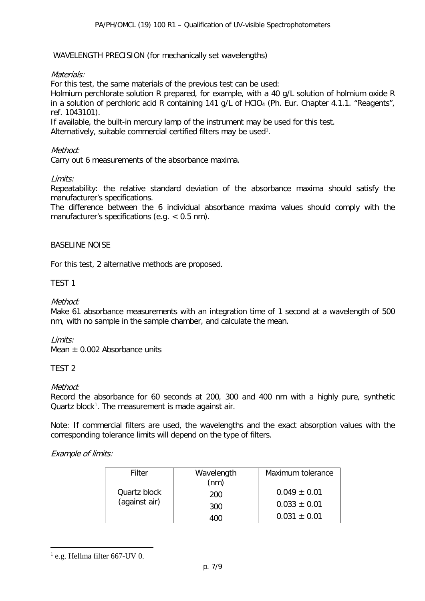#### WAVELENGTH PRECISION (for mechanically set wavelengths)

#### Materials:

For this test, the same materials of the previous test can be used:

Holmium perchlorate solution R prepared, for example, with a 40 g/L solution of holmium oxide R in a solution of perchloric acid R containing 141 g/L of HClO<sub>4</sub> (Ph. Eur. Chapter 4.1.1. "Reagents", ref. 1043101).

If available, the built-in mercury lamp of the instrument may be used for this test. Alternatively, suitable commercial certified filters may be used $^1$ .

#### Method:

Carry out 6 measurements of the absorbance maxima.

#### Limits:

Repeatability: the relative standard deviation of the absorbance maxima should satisfy the manufacturer's specifications.

The difference between the 6 individual absorbance maxima values should comply with the manufacturer's specifications (e.g. < 0.5 nm).

#### BASELINE NOISE

For this test, 2 alternative methods are proposed.

#### TEST 1

#### Method:

Make 61 absorbance measurements with an integration time of 1 second at a wavelength of 500 nm, with no sample in the sample chamber, and calculate the mean.

#### Limits:

Mean  $+$  0.002 Absorbance units

#### TEST 2

#### Method:

Record the absorbance for 60 seconds at 200, 300 and 400 nm with a highly pure, synthetic Quartz block<sup>[1](#page-6-0)</sup>. The measurement is made against air.

Note: If commercial filters are used, the wavelengths and the exact absorption values with the corresponding tolerance limits will depend on the type of filters.

#### Example of limits:

| Filter                        | Wavelength<br>(nm) | Maximum tolerance |
|-------------------------------|--------------------|-------------------|
| Quartz block<br>(against air) | 200                | $0.049 \pm 0.01$  |
|                               | 300                | $0.033 \pm 0.01$  |
|                               |                    | $0.031 \pm 0.01$  |

<span id="page-6-0"></span> $<sup>1</sup>$  e.g. Hellma filter 667-UV 0.</sup>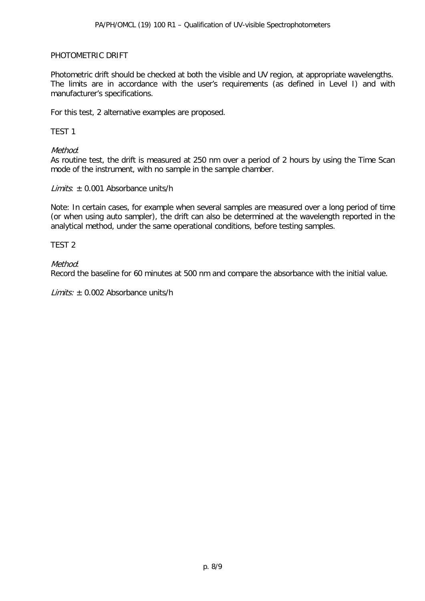#### PHOTOMETRIC DRIFT

Photometric drift should be checked at both the visible and UV region, at appropriate wavelengths. The limits are in accordance with the user's requirements (as defined in Level I) and with manufacturer's specifications.

For this test, 2 alternative examples are proposed.

#### TEST 1

# Method:

As routine test, the drift is measured at 250 nm over a period of 2 hours by using the Time Scan mode of the instrument, with no sample in the sample chamber.

 $Limits: + 0.001$  Absorbance units/h

Note: In certain cases, for example when several samples are measured over a long period of time (or when using auto sampler), the drift can also be determined at the wavelength reported in the analytical method, under the same operational conditions, before testing samples.

TEST 2

# Method:

Record the baseline for 60 minutes at 500 nm and compare the absorbance with the initial value.

*Limits:*  $\pm$  0.002 Absorbance units/h